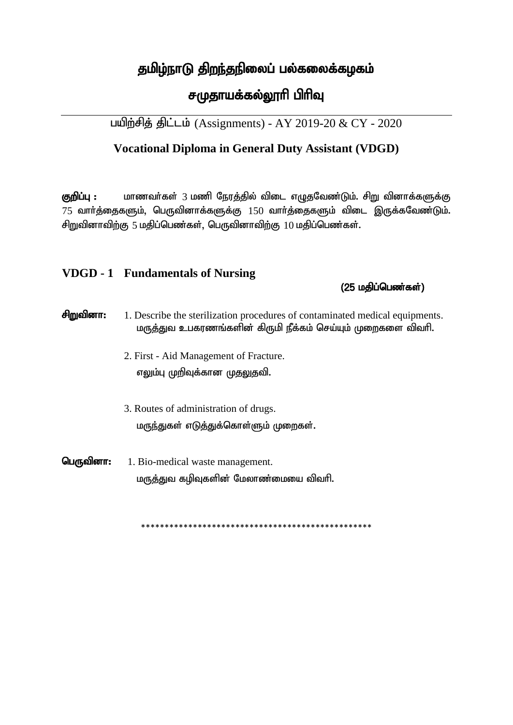## தமிழ்நாடு திறந்தநிலைப் பல்கலைக்கழகம்

# சமுதாயக்கல்லூரி பிரிவு

பயிற்சித் திட்டம் (Assignments) - AY 2019-20 & CY - 2020

### **Vocational Diploma in General Duty Assistant (VDGD)**

குறிப்பு : மாணவர்கள் 3 மணி நேரத்தில் விடை எழுதவேண்டும். சிறு வினாக்களுக்கு  $75$  வாா்த்தைகளும், பெருவினாக்களுக்கு  $150$  வாா்த்தைகளும் விடை இருக்கவேண்டும். சிறுவினாவிற்கு 5 மதிப்பெண்கள், பெருவினாவிற்கு  $10$  மதிப்பெண்கள்.

### **VDGD - 1 Fundamentals of Nursing**

#### $(25 \n *u*$ திப்பெண்கள் $)$

| சிறுவினா: | 1. Describe the sterilization procedures of contaminated medical equipments.<br>மருத்துவ உபகரணங்களின் கிருமி நீக்கம் செய்யும் முறைகளை விவரி. |
|-----------|----------------------------------------------------------------------------------------------------------------------------------------------|
|           | 2. First - Aid Management of Fracture.<br>எலும்பு முறிவுக்கான முதலுதவி.                                                                      |
|           | 3. Routes of administration of drugs.<br>மருந்துகள் எடுத்துக்கொள்ளும் முறைகள்.                                                               |
| பெருவினா: | 1. Bio-medical waste management.<br>மருத்துவ கழிவுகளின் மேலாண்மையை விவரி.                                                                    |

\*\*\*\*\*\*\*\*\*\*\*\*\*\*\*\*\*\*\*\*\*\*\*\*\*\*\*\*\*\*\*\*\*\*\*\*\*\*\*\*\*\*\*\*\*\*\*\*\*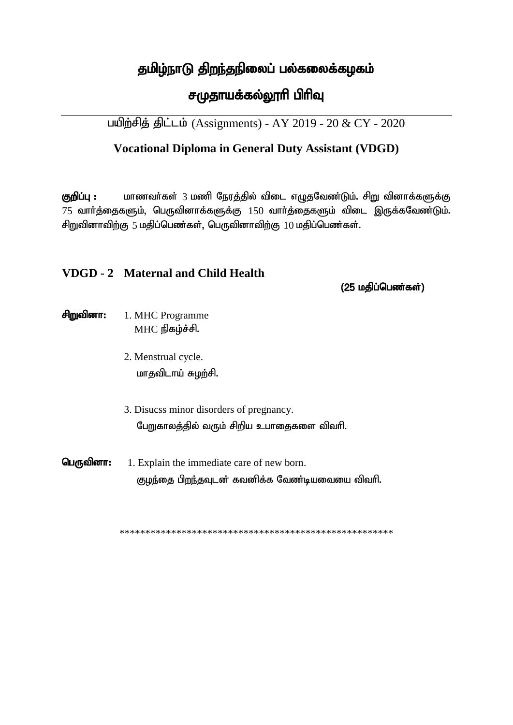## தமிழ்நாடு திறந்தநிலைப் பல்கலைக்கழகம்

# சமுதாயக்கல்லூரி பிரிவு

பயிற்சித் திட்டம் (Assignments) - AY 2019 - 20 & CY - 2020

### **Vocational Diploma in General Duty Assistant (VDGD)**

குறிப்பு : மாணவர்கள் 3 மணி நேரத்தில் விடை எழுதவேண்டும். சிறு வினாக்களுக்கு  $75$  வாா்த்தைகளும், பெருவினாக்களுக்கு  $150$  வாா்த்தைகளும் விடை இருக்கவேண்டும். சிறுவினாவிற்கு 5 மதிப்பெண்கள், பெருவினாவிற்கு  $10$  மதிப்பெண்கள்.

#### **VDGD - 2 Maternal and Child Health**

 $(25 \nightharpoonup \nightharpoonup \nightharpoonup \nightharpoonup \nightharpoonup \nightharpoonup \nightharpoonup \nightharpoonup \nightharpoonup \nightharpoonup \nightharpoonup \nightharpoonup \nightharpoonup \nightharpoonup \nightharpoonup \nightharpoonup \nightharpoonup \nightharpoonup \nightharpoonup \nightharpoonup \nightharpoonup \nightharpoonup \nightharpoonup \nightharpoonup \nightharpoonup \nightharpoonup \nightharpoonup \nightharpoonup \nightharpoonup \nightharpoonup \nightharpoonup \nightharpoonup \nightharpoonup \nightharpoonup \nightharpoonup \nightharpoonup$ 

#### சிறுவினா: 1. MHC Programme  $MHC$  நிகழ்ச்சி.

- 2. Menstrual cycle. மாதவிடாய் சுழற்சி.
- 3. Disucss minor disorders of pregnancy. பேறுகாலத்தில் வரும் சிறிய உபாதைகளை விவரி.
- பெருவினா: 1. Explain the immediate care of new born. குழந்தை பிறந்தவுடன் கவனிக்க வேண்டியவையை விவரி.

\*\*\*\*\*\*\*\*\*\*\*\*\*\*\*\*\*\*\*\*\*\*\*\*\*\*\*\*\*\*\*\*\*\*\*\*\*\*\*\*\*\*\*\*\*\*\*\*\*\*\*\*\*